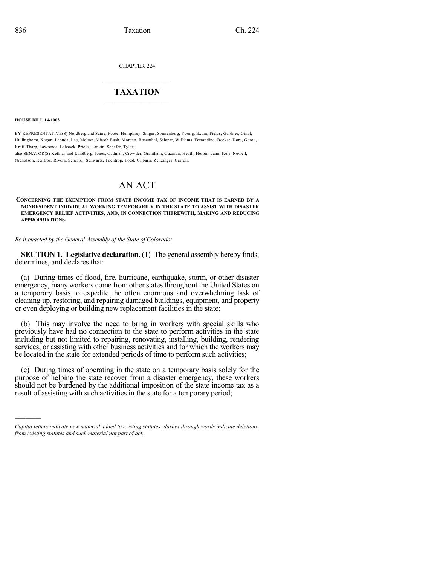CHAPTER 224

## $\overline{\phantom{a}}$  . The set of the set of the set of the set of the set of the set of the set of the set of the set of the set of the set of the set of the set of the set of the set of the set of the set of the set of the set o **TAXATION**  $\_$

**HOUSE BILL 14-1003**

)))))

BY REPRESENTATIVE(S) Nordberg and Saine, Foote, Humphrey, Singer, Sonnenberg, Young, Exum, Fields, Gardner, Ginal, Hullinghorst, Kagan, Labuda, Lee, Melton, Mitsch Bush, Moreno, Rosenthal, Salazar, Williams, Ferrandino, Becker, Dore, Gerou, Kraft-Tharp, Lawrence, Lebsock, Priola, Rankin, Schafer, Tyler;

also SENATOR(S) Kefalas and Lundberg, Jones, Cadman, Crowder, Grantham, Guzman, Heath, Herpin, Jahn, Kerr, Newell, Nicholson, Renfroe, Rivera, Scheffel, Schwartz, Tochtrop, Todd, Ulibarri, Zenzinger, Carroll.

# AN ACT

**CONCERNING THE EXEMPTION FROM STATE INCOME TAX OF INCOME THAT IS EARNED BY A NONRESIDENT INDIVIDUAL WORKING TEMPORARILY IN THE STATE TO ASSIST WITH DISASTER EMERGENCY RELIEF ACTIVITIES, AND, IN CONNECTION THEREWITH, MAKING AND REDUCING APPROPRIATIONS.**

*Be it enacted by the General Assembly of the State of Colorado:*

**SECTION 1. Legislative declaration.** (1) The general assembly hereby finds, determines, and declares that:

(a) During times of flood, fire, hurricane, earthquake, storm, or other disaster emergency, many workers come from other states throughout the United States on a temporary basis to expedite the often enormous and overwhelming task of cleaning up, restoring, and repairing damaged buildings, equipment, and property or even deploying or building new replacement facilities in the state;

(b) This may involve the need to bring in workers with special skills who previously have had no connection to the state to perform activities in the state including but not limited to repairing, renovating, installing, building, rendering services, or assisting with other business activities and for which the workers may be located in the state for extended periods of time to perform such activities;

(c) During times of operating in the state on a temporary basis solely for the purpose of helping the state recover from a disaster emergency, these workers should not be burdened by the additional imposition of the state income tax as a result of assisting with such activities in the state for a temporary period;

*Capital letters indicate new material added to existing statutes; dashes through words indicate deletions from existing statutes and such material not part of act.*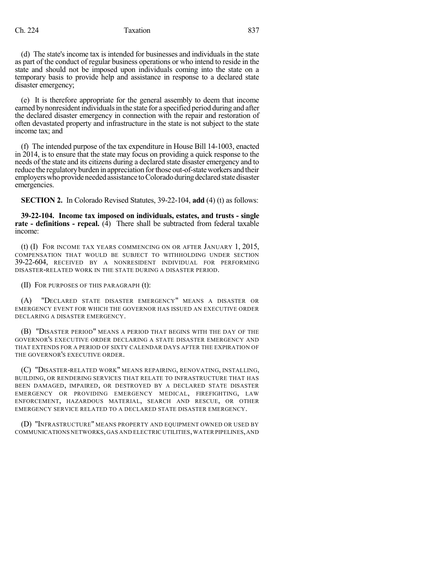#### Ch. 224 Taxation 637

(d) The state's income tax is intended for businesses and individuals in the state as part of the conduct of regular business operations or who intend to reside in the state and should not be imposed upon individuals coming into the state on a temporary basis to provide help and assistance in response to a declared state disaster emergency;

(e) It is therefore appropriate for the general assembly to deem that income earned by nonresident individuals in the state for a specified period during and after the declared disaster emergency in connection with the repair and restoration of often devastated property and infrastructure in the state is not subject to the state income tax; and

(f) The intended purpose of the tax expenditure in House Bill 14-1003, enacted in 2014, is to ensure that the state may focus on providing a quick response to the needs of the state and its citizens during a declared state disaster emergency and to reduce the regulatory burden in appreciation for those out-of-state workers and their employers who provide needed assistance to Colorado during declared state disaster emergencies.

**SECTION 2.** In Colorado Revised Statutes, 39-22-104, **add** (4) (t) as follows:

**39-22-104. Income tax imposed on individuals, estates, and trusts - single rate - definitions - repeal.** (4) There shall be subtracted from federal taxable income:

(t) (I) FOR INCOME TAX YEARS COMMENCING ON OR AFTER JANUARY 1, 2015, COMPENSATION THAT WOULD BE SUBJECT TO WITHHOLDING UNDER SECTION 39-22-604, RECEIVED BY A NONRESIDENT INDIVIDUAL FOR PERFORMING DISASTER-RELATED WORK IN THE STATE DURING A DISASTER PERIOD.

(II) FOR PURPOSES OF THIS PARAGRAPH (t):

(A) "DECLARED STATE DISASTER EMERGENCY" MEANS A DISASTER OR EMERGENCY EVENT FOR WHICH THE GOVERNOR HAS ISSUED AN EXECUTIVE ORDER DECLARING A DISASTER EMERGENCY.

(B) "DISASTER PERIOD" MEANS A PERIOD THAT BEGINS WITH THE DAY OF THE GOVERNOR'S EXECUTIVE ORDER DECLARING A STATE DISASTER EMERGENCY AND THAT EXTENDS FOR A PERIOD OF SIXTY CALENDAR DAYS AFTER THE EXPIRATION OF THE GOVERNOR'S EXECUTIVE ORDER.

(C) "DISASTER-RELATED WORK" MEANS REPAIRING, RENOVATING, INSTALLING, BUILDING, OR RENDERING SERVICES THAT RELATE TO INFRASTRUCTURE THAT HAS BEEN DAMAGED, IMPAIRED, OR DESTROYED BY A DECLARED STATE DISASTER EMERGENCY OR PROVIDING EMERGENCY MEDICAL, FIREFIGHTING, LAW ENFORCEMENT, HAZARDOUS MATERIAL, SEARCH AND RESCUE, OR OTHER EMERGENCY SERVICE RELATED TO A DECLARED STATE DISASTER EMERGENCY.

(D) "INFRASTRUCTURE" MEANS PROPERTY AND EQUIPMENT OWNED OR USED BY COMMUNICATIONS NETWORKS, GAS AND ELECTRIC UTILITIES, WATER PIPELINES, AND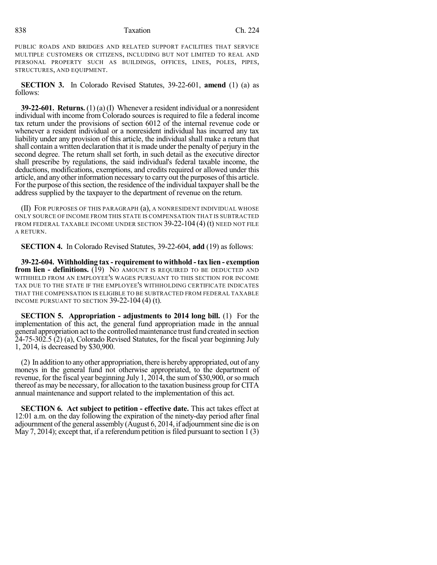#### 838 Taxation Ch. 224

PUBLIC ROADS AND BRIDGES AND RELATED SUPPORT FACILITIES THAT SERVICE MULTIPLE CUSTOMERS OR CITIZENS, INCLUDING BUT NOT LIMITED TO REAL AND PERSONAL PROPERTY SUCH AS BUILDINGS, OFFICES, LINES, POLES, PIPES, STRUCTURES, AND EQUIPMENT.

**SECTION 3.** In Colorado Revised Statutes, 39-22-601, **amend** (1) (a) as follows:

**39-22-601. Returns.** (1) (a) (I) Whenever a resident individual or a nonresident individual with income from Colorado sources is required to file a federal income tax return under the provisions of section 6012 of the internal revenue code or whenever a resident individual or a nonresident individual has incurred any tax liability under any provision of this article, the individual shall make a return that shall contain a written declaration that it is made under the penalty of perjury in the second degree. The return shall set forth, in such detail as the executive director shall prescribe by regulations, the said individual's federal taxable income, the deductions, modifications, exemptions, and credits required or allowed under this article, and any other information necessary to carry out the purposes of this article. For the purpose of this section, the residence of the individual taxpayer shall be the address supplied by the taxpayer to the department of revenue on the return.

(II) FOR PURPOSES OF THIS PARAGRAPH (a), A NONRESIDENT INDIVIDUAL WHOSE ONLY SOURCE OF INCOME FROM THIS STATE IS COMPENSATION THAT IS SUBTRACTED FROM FEDERAL TAXABLE INCOME UNDER SECTION 39-22-104 (4) (t) NEED NOT FILE A RETURN.

**SECTION 4.** In Colorado Revised Statutes, 39-22-604, **add** (19) as follows:

**39-22-604. Withholding tax - requirement to withhold - tax lien - exemption from lien - definitions.** (19) NO AMOUNT IS REQUIRED TO BE DEDUCTED AND WITHHELD FROM AN EMPLOYEE'S WAGES PURSUANT TO THIS SECTION FOR INCOME TAX DUE TO THE STATE IF THE EMPLOYEE'S WITHHOLDING CERTIFICATE INDICATES THAT THE COMPENSATION IS ELIGIBLE TO BE SUBTRACTED FROM FEDERAL TAXABLE INCOME PURSUANT TO SECTION 39-22-104 (4) (t).

**SECTION 5. Appropriation - adjustments to 2014 long bill.** (1) For the implementation of this act, the general fund appropriation made in the annual general appropriation act to the controlled maintenance trust fund created in section 24-75-302.5 (2) (a), Colorado Revised Statutes, for the fiscal year beginning July 1, 2014, is decreased by \$30,900.

(2) In addition to anyother appropriation, there is hereby appropriated, out of any moneys in the general fund not otherwise appropriated, to the department of revenue, for the fiscal year beginning July 1, 2014, the sum of \$30,900, or so much thereof as may be necessary, for allocation to the taxation business group for CITA annual maintenance and support related to the implementation of this act.

**SECTION 6. Act subject to petition - effective date.** This act takes effect at 12:01 a.m. on the day following the expiration of the ninety-day period after final adjournment of the general assembly (August 6, 2014, if adjournment sine die is on May 7, 2014); except that, if a referendum petition is filed pursuant to section  $1(3)$